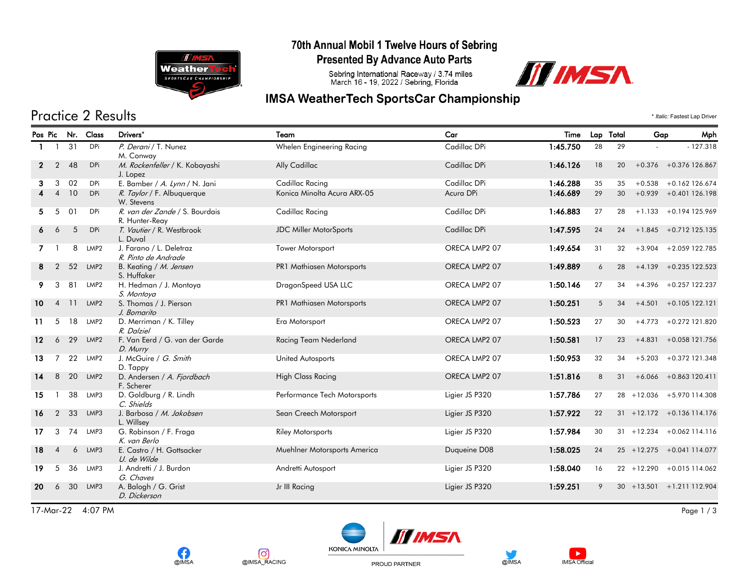

#### 70th Annual Mobil 1 Twelve Hours of Sebring

**Presented By Advance Auto Parts** 

Sebring International Raceway / 3.74 miles<br>March 16 - 19, 2022 / Sebring, Florida



### **IMSA WeatherTech SportsCar Championship**

## Practice 2 Results \* *Italic:* Fastest Lap Driver

|                   |                |    | Pos Pic Nr. Class | Drivers*                                         | Team                          | Car            | Time     | Lap Total |    | Gap           | Mph                          |
|-------------------|----------------|----|-------------------|--------------------------------------------------|-------------------------------|----------------|----------|-----------|----|---------------|------------------------------|
|                   |                | 31 | DPi               | P. Derani / T. Nunez<br>M. Conway                | Whelen Engineering Racing     | Cadillac DPi   | 1:45.750 | 28        | 29 |               | $-127.318$                   |
| $\mathbf{2}$      | $\overline{2}$ | 48 | <b>DPi</b>        | M. Rockenfeller / K. Kobayashi<br>J. Lopez       | Ally Cadillac                 | Cadillac DPi   | 1:46.126 | 18        | 20 |               | $+0.376 + 0.376$ 126.867     |
| 3                 | 3              | 02 | DPi               | E. Bamber / A. Lynn / N. Jani                    | Cadillac Racing               | Cadillac DPi   | 1:46.288 | 35        | 35 |               | $+0.538 +0.162$ 126.674      |
|                   | $\overline{4}$ | 10 | <b>DPi</b>        | R. Taylor / F. Albuquerque<br>W. Stevens         | Konica Minolta Acura ARX-05   | Acura DPi      | 1:46.689 | 29        | 30 |               | $+0.939 + 0.401126.198$      |
| 5.                | 5              | 01 | DPi               | R. van der Zande / S. Bourdais<br>R. Hunter-Reay | Cadillac Racing               | Cadillac DPi   | 1:46.883 | 27        | 28 |               | $+1.133 + 0.194125.969$      |
| 6                 | 6              | 5  | <b>DPi</b>        | T. Vautier / R. Westbrook<br>L. Duval            | <b>JDC Miller MotorSports</b> | Cadillac DPi   | 1:47.595 | 24        | 24 |               | $+1.845 + 0.712$ 125.135     |
| 7                 |                | 8  | LMP2              | J. Farano / L. Deletraz<br>R. Pinto de Andrade   | <b>Tower Motorsport</b>       | ORECA LMP2 07  | 1:49.654 | 31        | 32 |               | $+3.904 + 2.059$ 122.785     |
| 8                 | $\overline{2}$ | 52 | LMP <sub>2</sub>  | B. Keating / M. Jensen<br>S. Huffaker            | PR1 Mathiasen Motorsports     | ORECA LMP2 07  | 1:49.889 | 6         | 28 |               | $+4.139 + 0.235122.523$      |
| 9                 | 3              | 81 | LMP2              | H. Hedman / J. Montoya<br>S. Montoya             | DragonSpeed USA LLC           | ORECA LMP2 07  | 1:50.146 | 27        | 34 |               | $+4.396 + 0.257$ 122.237     |
| 10                | $\overline{4}$ | 11 | LMP2              | S. Thomas / J. Pierson<br>J. Bomarito            | PR1 Mathiasen Motorsports     | ORECA LMP2 07  | 1:50.251 | 5         | 34 |               | $+4.501 + 0.105122.121$      |
| 11                | 5              | 18 | LMP2              | D. Merriman / K. Tilley<br>R. Dalziel            | Era Motorsport                | ORECA LMP2 07  | 1:50.523 | 27        | 30 |               | $+4.773 + 0.272$ 121.820     |
| $12 \overline{ }$ | 6              | 29 | LMP <sub>2</sub>  | F. Van Eerd / G. van der Garde<br>D. Murry       | Racing Team Nederland         | ORECA LMP2 07  | 1:50.581 | 17        | 23 | $+4.831$      | +0.058 121.756               |
| 13                | $\overline{7}$ | 22 | LMP2              | J. McGuire / G. Smith<br>D. Tappy                | United Autosports             | ORECA LMP2 07  | 1:50.953 | 32        | 34 | $+5.203$      | +0.372 121.348               |
| 14                | 8              | 20 | LMP <sub>2</sub>  | D. Andersen / A. Fjordbach<br>F. Scherer         | <b>High Class Racing</b>      | ORECA LMP2 07  | 1:51.816 | 8         | 31 |               | $+6.066 + 0.863120.411$      |
| 15                |                | 38 | LMP3              | D. Goldburg / R. Lindh<br>C. Shields             | Performance Tech Motorsports  | Ligier JS P320 | 1:57.786 | 27        |    |               | 28 +12.036 +5.970 114.308    |
| 16                | $\overline{2}$ | 33 | LMP3              | J. Barbosa / M. Jakobsen<br>L. Willsey           | Sean Creech Motorsport        | Ligier JS P320 | 1:57.922 | 22        |    |               | $31 + 12.172 + 0.136114.176$ |
| 17                | 3              | 74 | LMP3              | G. Robinson / F. Fraga<br>K. van Berlo           | <b>Riley Motorsports</b>      | Ligier JS P320 | 1:57.984 | 30        |    |               | $31 + 12.234 + 0.062114.116$ |
| 18                | $\overline{4}$ | 6  | LMP3              | E. Castro / H. Gottsacker<br>U. de Wilde         | Muehlner Motorsports America  | Duqueine D08   | 1:58.025 | 24        |    | $25 + 12.275$ | +0.041 114.077               |
| 19                | 5              | 36 | LMP3              | J. Andretti / J. Burdon<br>G. Chaves             | Andretti Autosport            | Ligier JS P320 | 1:58.040 | 16        |    |               | 22 +12.290 +0.015 114.062    |
| 20                | 6              | 30 | LMP3              | A. Balogh / G. Grist<br>D. Dickerson             | Jr III Racing                 | Ligier JS P320 | 1:59.251 |           |    |               | $30 + 13.501 + 1.211112.904$ |

17-Mar-22 4:07 PM Page 1 / 3







PROUD PARTNER



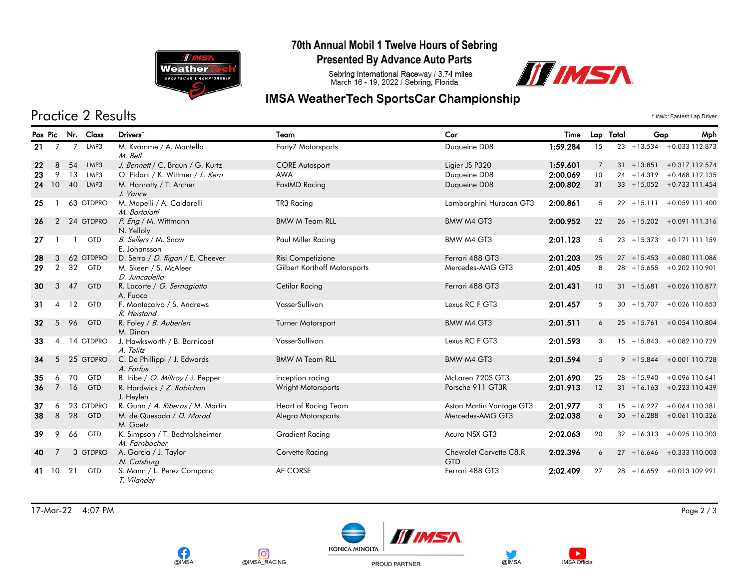

**OIMSA** 

രി

@IMSA\_RACING

#### 70th Annual Mobil 1 Twelve Hours of Sebring

**Presented By Advance Auto Parts** 

Sebring International Raceway / 3.74 miles<br>March 16 - 19, 2022 / Sebring, Florida



### **IMSA WeatherTech SportsCar Championship**

# Practice 2 Results \* *Italic:* Fastest Lap Driver

|    |                |                | Pos Pic Nr. Class | Drivers*                                        | Team                         | Car                                   | Time     |                | Lap Total | Gap           | Mph                          |
|----|----------------|----------------|-------------------|-------------------------------------------------|------------------------------|---------------------------------------|----------|----------------|-----------|---------------|------------------------------|
| 21 | $\overline{7}$ | $\overline{7}$ | LMP3              | M. Kvamme / A. Mantella<br>M. Bell              | Forty7 Motorsports           | Duqueine D08                          | 1:59.284 | 15             |           |               | $23 + 13.534 + 0.033112.873$ |
| 22 | 8              | 54             | LMP3              | J. Bennett / C. Braun / G. Kurtz                | <b>CORE Autosport</b>        | Ligier JS P320                        | 1:59.601 | $\overline{7}$ |           |               | $31 + 13.851 + 0.317112.574$ |
| 23 | 9              | 13             | LMP3              | O. Fidani / K. Wittmer / L. Kern                | <b>AWA</b>                   | Duqueine D08                          | 2:00.069 | 10             |           |               | $24 + 14.319 + 0.468112.135$ |
|    | 24 10          | 40             | LMP3              | M. Hanratty / T. Archer<br>J. Vance             | FastMD Racing                | Duqueine D08                          | 2:00.802 | 31             |           |               | $33 + 15.052 + 0.733111.454$ |
| 25 |                |                | 63 GTDPRO         | M. Mapelli / A. Caldarelli<br>M. Bortolotti     | TR3 Racing                   | Lamborghini Huracan GT3               | 2:00.861 | 5              |           |               | $29 + 15.111 + 0.059111.400$ |
| 26 | 2              |                | 24 GTDPRO         | P. Eng / M. Wittmann<br>N. Yelloly              | <b>BMW M Team RLL</b>        | BMW M4 GT3                            | 2:00.952 | 22             |           |               | 26 +15.202 +0.091 111.316    |
| 27 |                |                | <b>GTD</b>        | B. Sellers / M. Snow<br>E. Johansson            | Paul Miller Racing           | BMW M4 GT3                            | 2:01.123 | 5              |           |               | 23 +15.373 +0.171 111.159    |
| 28 | 3              |                | 62 GTDPRO         | D. Serra / D. Rigon / E. Cheever                | Risi Competizione            | Ferrari 488 GT3                       | 2:01.203 | 25             |           |               | $27 + 15.453 + 0.080111.086$ |
| 29 | 2              | 32             | <b>GTD</b>        | M. Skeen / S. McAleer<br>D. Juncadella          | Gilbert Korthoff Motorsports | Mercedes-AMG GT3                      | 2:01.405 | 8              |           |               | 28 +15.655 +0.202 110.901    |
| 30 | 3              | 47             | <b>GTD</b>        | R. Lacorte / G. Sernagiotto<br>A. Fuoco         | <b>Cetilar Racing</b>        | Ferrari 488 GT3                       | 2:01.431 | 10             |           |               | $31 + 15.681 + 0.026110.877$ |
| 31 | 4              | 12             | <b>GTD</b>        | F. Montecalvo / S. Andrews<br>R. Heistand       | VasserSullivan               | Lexus RC F GT3                        | 2:01.457 | 5              |           |               | $30 + 15.707 + 0.026110.853$ |
| 32 | 5              | 96             | <b>GTD</b>        | R. Foley / B. Auberlen<br>M. Dinan              | Turner Motorsport            | BMW M4 GT3                            | 2:01.511 | 6              |           |               | 25 +15.761 +0.054 110.804    |
| 33 | 4              |                | 14 GTDPRO         | J. Hawksworth / B. Barnicoat<br>A. Telitz       | VasserSullivan               | Lexus RC F GT3                        | 2:01.593 | 3              |           |               | 15 +15.843 +0.082 110.729    |
| 34 | 5              |                | 25 GTDPRO         | C. De Phillippi / J. Edwards<br>A. Farfus       | <b>BMW M Team RLL</b>        | BMW M4 GT3                            | 2:01.594 | 5              |           |               | $9 + 15.844 + 0.001110.728$  |
| 35 | 6              | 70             | <b>GTD</b>        | B. Iribe / O. Millroy / J. Pepper               | inception racing             | McLaren 720S GT3                      | 2:01.690 | 25             |           |               | 28 +15.940 +0.096 110.641    |
| 36 |                | 7 16           | GTD               | R. Hardwick / Z. Robichon<br>J. Heylen          | Wright Motorsports           | Porsche 911 GT3R                      | 2:01.913 | 12             |           |               | $31 + 16.163 + 0.223110.439$ |
| 37 | 6              |                | 23 GTDPRO         | R. Gunn / A. Riberas / M. Martin                | Heart of Racing Team         | Aston Martin Vantage GT3              | 2:01.977 | 3              |           |               | 15 +16.227 +0.064 110.381    |
| 38 | 8              | 28             | <b>GTD</b>        | M. de Quesada / D. Morad<br>M. Goetz            | Alegra Motorsports           | Mercedes-AMG GT3                      | 2:02.038 | 6              |           |               | $30 + 16.288 + 0.061110.326$ |
| 39 | 9              | 66             | <b>GTD</b>        | K. Simpson / T. Bechtolsheimer<br>M. Farnbacher | <b>Gradient Racing</b>       | Acura NSX GT3                         | 2:02.063 | 20             |           |               | $32 + 16.313 + 0.025110.303$ |
| 40 | 7              |                | 3 GTDPRO          | A. Garcia / J. Taylor<br>N. Catsburg            | Corvette Racing              | Chevrolet Corvette C8.R<br><b>GTD</b> | 2:02.396 | 6              |           |               | 27 +16.646 +0.333 110.003    |
| 41 | 10             | 21             | <b>GTD</b>        | S. Mann / L. Perez Companc<br>T. Vilander       | AF CORSE                     | Ferrari 488 GT3                       | 2:02.409 | 27             |           | $28 + 16.659$ | +0.013 109.991               |

17-Mar-22 4:07 PM Page 2 / 3